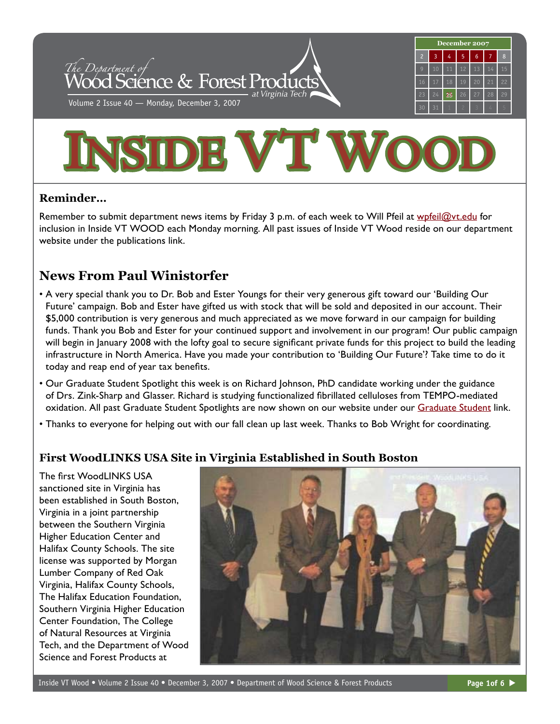



## **Reminder…**

Remember to submit department news items by Friday 3 p.m. of each week to Will Pfeil at [wpfeil@vt.edu](mailto:wpfeil@vt.edu) for inclusion in Inside VT WOOD each Monday morning. All past issues of Inside VT Wood reside on our department website under the publications link.

# **News From Paul Winistorfer**

- A very special thank you to Dr. Bob and Ester Youngs for their very generous gift toward our 'Building Our Future' campaign. Bob and Ester have gifted us with stock that will be sold and deposited in our account. Their \$5,000 contribution is very generous and much appreciated as we move forward in our campaign for building funds. Thank you Bob and Ester for your continued support and involvement in our program! Our public campaign will begin in January 2008 with the lofty goal to secure significant private funds for this project to build the leading infrastructure in North America. Have you made your contribution to 'Building Our Future'? Take time to do it today and reap end of year tax benefits.
- Our Graduate Student Spotlight this week is on Richard Johnson, PhD candidate working under the guidance of Drs. Zink-Sharp and Glasser. Richard is studying functionalized fibrillated celluloses from TEMPO-mediated oxidation. All past [Graduate Studen](http://www.woodscience.vt.edu/students/graduate/)t Spotlights are now shown on our website under our Graduate Student link.
- Thanks to everyone for helping out with our fall clean up last week. Thanks to Bob Wright for coordinating.

# **First WoodLINKS USA Site in Virginia Established in South Boston**

The first WoodLINKS USA sanctioned site in Virginia has been established in South Boston, Virginia in a joint partnership between the Southern Virginia Higher Education Center and Halifax County Schools. The site license was supported by Morgan Lumber Company of Red Oak Virginia, Halifax County Schools, The Halifax Education Foundation, Southern Virginia Higher Education Center Foundation, The College of Natural Resources at Virginia Tech, and the Department of Wood Science and Forest Products at

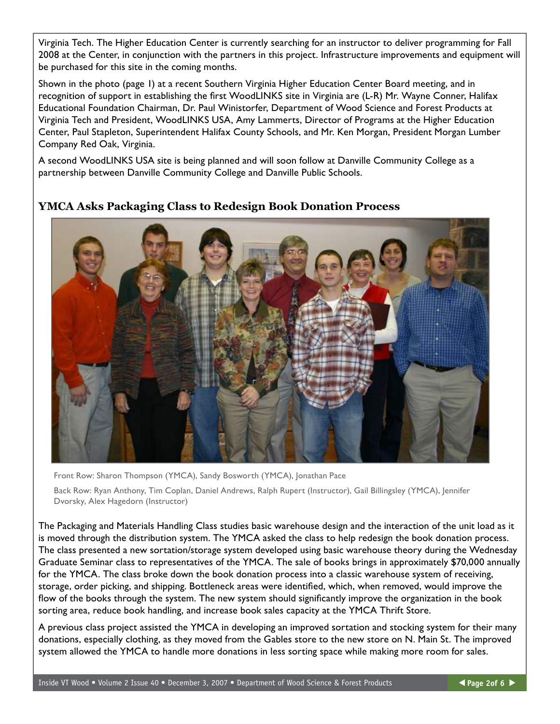Virginia Tech. The Higher Education Center is currently searching for an instructor to deliver programming for Fall 2008 at the Center, in conjunction with the partners in this project. Infrastructure improvements and equipment will be purchased for this site in the coming months.

Shown in the photo (page 1) at a recent Southern Virginia Higher Education Center Board meeting, and in recognition of support in establishing the first WoodLINKS site in Virginia are (L-R) Mr. Wayne Conner, Halifax Educational Foundation Chairman, Dr. Paul Winistorfer, Department of Wood Science and Forest Products at Virginia Tech and President, WoodLINKS USA, Amy Lammerts, Director of Programs at the Higher Education Center, Paul Stapleton, Superintendent Halifax County Schools, and Mr. Ken Morgan, President Morgan Lumber Company Red Oak, Virginia.

A second WoodLINKS USA site is being planned and will soon follow at Danville Community College as a partnership between Danville Community College and Danville Public Schools.



**YMCA Asks Packaging Class to Redesign Book Donation Process**

Front Row: Sharon Thompson (YMCA), Sandy Bosworth (YMCA), Jonathan Pace

Back Row: Ryan Anthony, Tim Coplan, Daniel Andrews, Ralph Rupert (Instructor), Gail Billingsley (YMCA), Jennifer Dvorsky, Alex Hagedorn (Instructor)

The Packaging and Materials Handling Class studies basic warehouse design and the interaction of the unit load as it is moved through the distribution system. The YMCA asked the class to help redesign the book donation process. The class presented a new sortation/storage system developed using basic warehouse theory during the Wednesday Graduate Seminar class to representatives of the YMCA. The sale of books brings in approximately \$70,000 annually for the YMCA. The class broke down the book donation process into a classic warehouse system of receiving, storage, order picking, and shipping. Bottleneck areas were identified, which, when removed, would improve the flow of the books through the system. The new system should significantly improve the organization in the book sorting area, reduce book handling, and increase book sales capacity at the YMCA Thrift Store.

A previous class project assisted the YMCA in developing an improved sortation and stocking system for their many donations, especially clothing, as they moved from the Gables store to the new store on N. Main St. The improved system allowed the YMCA to handle more donations in less sorting space while making more room for sales.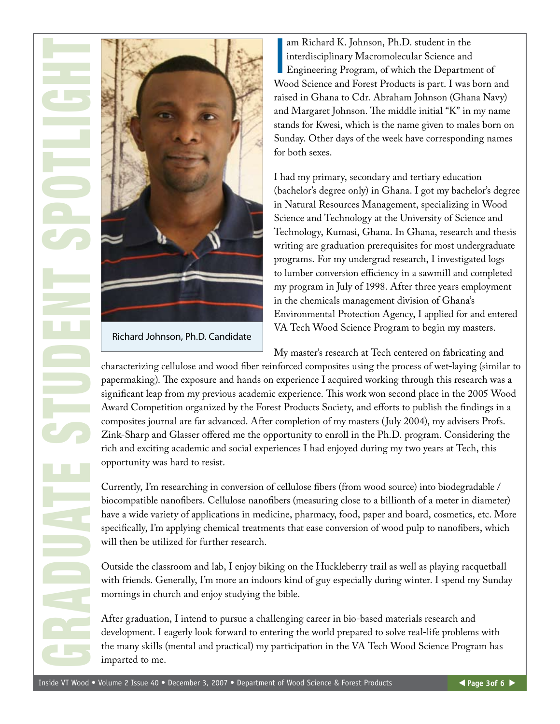

Richard Johnson, Ph.D. Candidate

am Richard K. Johnson, Ph.D. student in the<br>interdisciplinary Macromolecular Science and<br>Engineering Program, of which the Department of am Richard K. Johnson, Ph.D. student in the interdisciplinary Macromolecular Science and Wood Science and Forest Products is part. I was born and raised in Ghana to Cdr. Abraham Johnson (Ghana Navy) and Margaret Johnson. The middle initial "K" in my name stands for Kwesi, which is the name given to males born on Sunday. Other days of the week have corresponding names for both sexes.

I had my primary, secondary and tertiary education (bachelor's degree only) in Ghana. I got my bachelor's degree in Natural Resources Management, specializing in Wood Science and Technology at the University of Science and Technology, Kumasi, Ghana. In Ghana, research and thesis writing are graduation prerequisites for most undergraduate programs. For my undergrad research, I investigated logs to lumber conversion efficiency in a sawmill and completed my program in July of 1998. After three years employment in the chemicals management division of Ghana's Environmental Protection Agency, I applied for and entered VA Tech Wood Science Program to begin my masters.

My master's research at Tech centered on fabricating and characterizing cellulose and wood fiber reinforced composites using the process of wet-laying (similar to papermaking). The exposure and hands on experience I acquired working through this research was a significant leap from my previous academic experience. This work won second place in the 2005 Wood Award Competition organized by the Forest Products Society, and efforts to publish the findings in a composites journal are far advanced. After completion of my masters (July 2004), my advisers Profs. Zink-Sharp and Glasser offered me the opportunity to enroll in the Ph.D. program. Considering the rich and exciting academic and social experiences I had enjoyed during my two years at Tech, this opportunity was hard to resist.

Currently, I'm researching in conversion of cellulose fibers (from wood source) into biodegradable / biocompatible nanofibers. Cellulose nanofibers (measuring close to a billionth of a meter in diameter) have a wide variety of applications in medicine, pharmacy, food, paper and board, cosmetics, etc. More specifically, I'm applying chemical treatments that ease conversion of wood pulp to nanofibers, which will then be utilized for further research.

Outside the classroom and lab, I enjoy biking on the Huckleberry trail as well as playing racquetball with friends. Generally, I'm more an indoors kind of guy especially during winter. I spend my Sunday mornings in church and enjoy studying the bible.

After graduation, I intend to pursue a challenging career in bio-based materials research and development. I eagerly look forward to entering the world prepared to solve real-life problems with the many skills (mental and practical) my participation in the VA Tech Wood Science Program has imparted to me.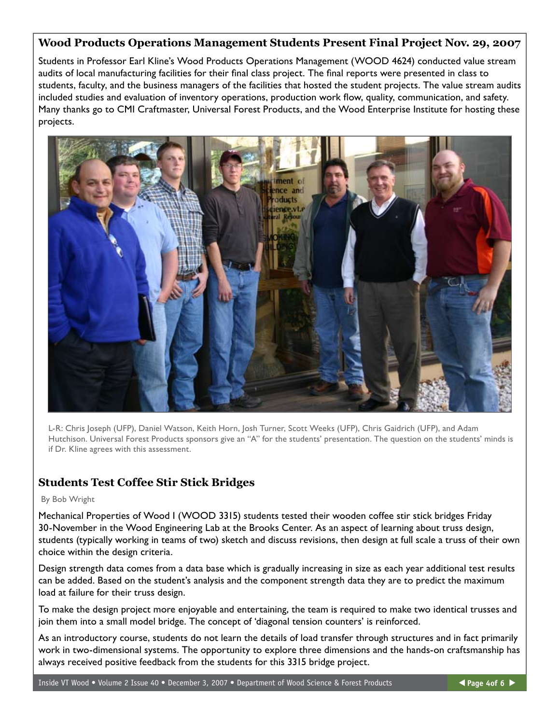#### **Wood Products Operations Management Students Present Final Project Nov. 29, 2007**

Students in Professor Earl Kline's Wood Products Operations Management (WOOD 4624) conducted value stream audits of local manufacturing facilities for their final class project. The final reports were presented in class to students, faculty, and the business managers of the facilities that hosted the student projects. The value stream audits included studies and evaluation of inventory operations, production work flow, quality, communication, and safety. Many thanks go to CMI Craftmaster, Universal Forest Products, and the Wood Enterprise Institute for hosting these projects.



L-R: Chris Joseph (UFP), Daniel Watson, Keith Horn, Josh Turner, Scott Weeks (UFP), Chris Gaidrich (UFP), and Adam Hutchison. Universal Forest Products sponsors give an "A" for the students' presentation. The question on the students' minds is if Dr. Kline agrees with this assessment.

### **Students Test Coffee Stir Stick Bridges**

#### By Bob Wright

Mechanical Properties of Wood I (WOOD 3315) students tested their wooden coffee stir stick bridges Friday 30-November in the Wood Engineering Lab at the Brooks Center. As an aspect of learning about truss design, students (typically working in teams of two) sketch and discuss revisions, then design at full scale a truss of their own choice within the design criteria.

Design strength data comes from a data base which is gradually increasing in size as each year additional test results can be added. Based on the student's analysis and the component strength data they are to predict the maximum load at failure for their truss design.

To make the design project more enjoyable and entertaining, the team is required to make two identical trusses and join them into a small model bridge. The concept of 'diagonal tension counters' is reinforced.

As an introductory course, students do not learn the details of load transfer through structures and in fact primarily work in two-dimensional systems. The opportunity to explore three dimensions and the hands-on craftsmanship has always received positive feedback from the students for this 3315 bridge project.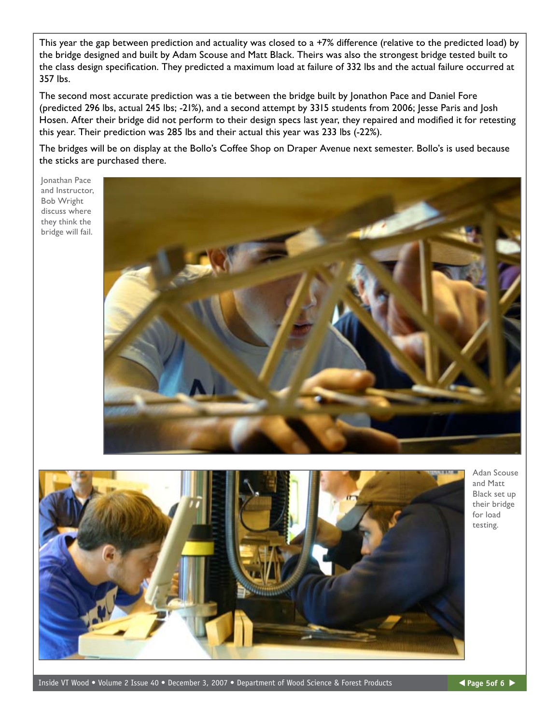This year the gap between prediction and actuality was closed to a +7% difference (relative to the predicted load) by the bridge designed and built by Adam Scouse and Matt Black. Theirs was also the strongest bridge tested built to the class design specification. They predicted a maximum load at failure of 332 lbs and the actual failure occurred at 357 lbs.

The second most accurate prediction was a tie between the bridge built by Jonathon Pace and Daniel Fore (predicted 296 lbs, actual 245 lbs; -21%), and a second attempt by 3315 students from 2006; Jesse Paris and Josh Hosen. After their bridge did not perform to their design specs last year, they repaired and modified it for retesting this year. Their prediction was 285 lbs and their actual this year was 233 lbs (-22%).

The bridges will be on display at the Bollo's Coffee Shop on Draper Avenue next semester. Bollo's is used because the sticks are purchased there.

Jonathan Pace and Instructor, Bob Wright discuss where they think the bridge will fail.





Adan Scouse and Matt Black set up their bridge for load testing.